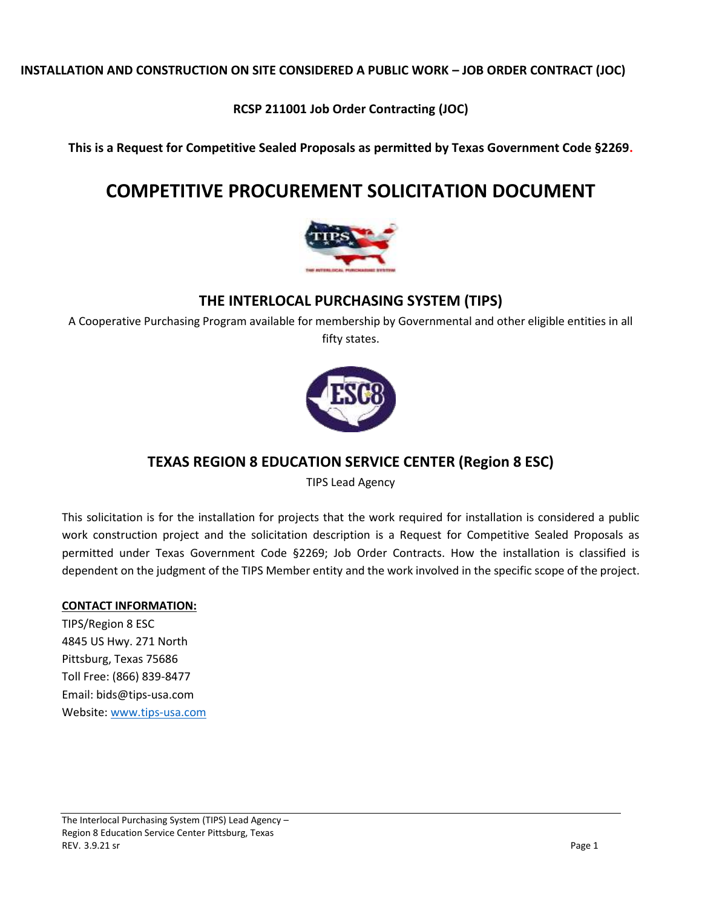**INSTALLATION AND CONSTRUCTION ON SITE CONSIDERED A PUBLIC WORK – JOB ORDER CONTRACT (JOC)**

**RCSP 211001 Job Order Contracting (JOC)**

**This is a Request for Competitive Sealed Proposals as permitted by Texas Government Code §2269.**

# **COMPETITIVE PROCUREMENT SOLICITATION DOCUMENT**



# **THE INTERLOCAL PURCHASING SYSTEM (TIPS)**

A Cooperative Purchasing Program available for membership by Governmental and other eligible entities in all fifty states.



# **TEXAS REGION 8 EDUCATION SERVICE CENTER (Region 8 ESC)**

TIPS Lead Agency

This solicitation is for the installation for projects that the work required for installation is considered a public work construction project and the solicitation description is a Request for Competitive Sealed Proposals as permitted under Texas Government Code §2269; Job Order Contracts. How the installation is classified is dependent on the judgment of the TIPS Member entity and the work involved in the specific scope of the project.

# **CONTACT INFORMATION:**

TIPS/Region 8 ESC 4845 US Hwy. 271 North Pittsburg, Texas 75686 Toll Free: (866) 839-8477 Email: bids@tips-usa.com Website[: www.tips-usa.com](http://www.tips-usa.com/)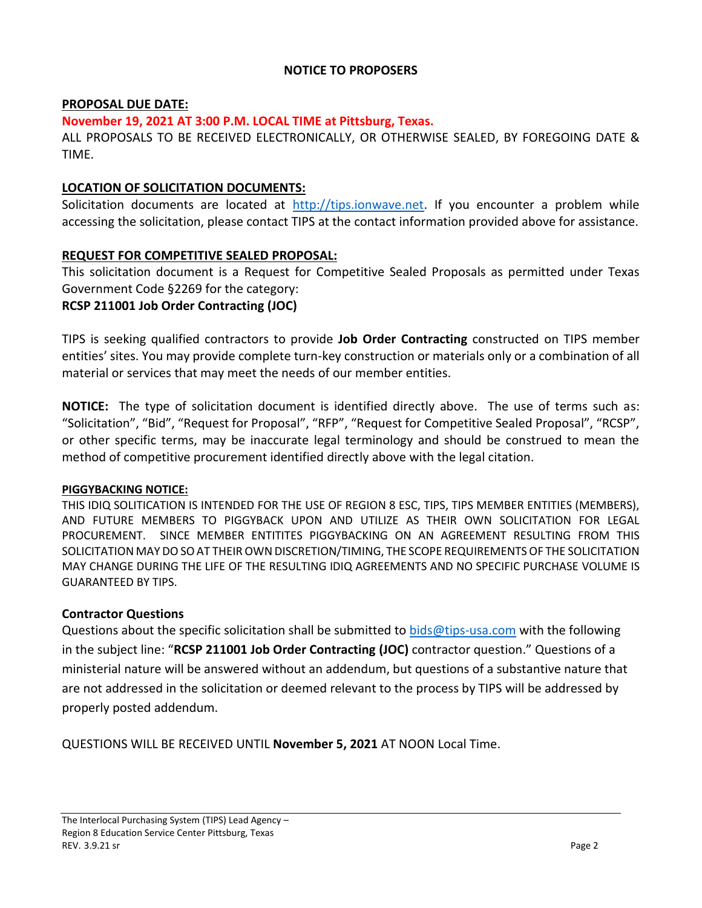# **NOTICE TO PROPOSERS**

# **PROPOSAL DUE DATE:**

### **November 19, 2021 AT 3:00 P.M. LOCAL TIME at Pittsburg, Texas.**

ALL PROPOSALS TO BE RECEIVED ELECTRONICALLY, OR OTHERWISE SEALED, BY FOREGOING DATE & TIME.

# **LOCATION OF SOLICITATION DOCUMENTS:**

Solicitation documents are located at [http://tips.ionwave.net.](http://tips.ionwave.net/) If you encounter a problem while accessing the solicitation, please contact TIPS at the contact information provided above for assistance.

# **REQUEST FOR COMPETITIVE SEALED PROPOSAL:**

This solicitation document is a Request for Competitive Sealed Proposals as permitted under Texas Government Code §2269 for the category:

# **RCSP 211001 Job Order Contracting (JOC)**

TIPS is seeking qualified contractors to provide **Job Order Contracting** constructed on TIPS member entities' sites. You may provide complete turn-key construction or materials only or a combination of all material or services that may meet the needs of our member entities.

**NOTICE:** The type of solicitation document is identified directly above. The use of terms such as: "Solicitation", "Bid", "Request for Proposal", "RFP", "Request for Competitive Sealed Proposal", "RCSP", or other specific terms, may be inaccurate legal terminology and should be construed to mean the method of competitive procurement identified directly above with the legal citation.

### **PIGGYBACKING NOTICE:**

THIS IDIQ SOLITICATION IS INTENDED FOR THE USE OF REGION 8 ESC, TIPS, TIPS MEMBER ENTITIES (MEMBERS), AND FUTURE MEMBERS TO PIGGYBACK UPON AND UTILIZE AS THEIR OWN SOLICITATION FOR LEGAL PROCUREMENT. SINCE MEMBER ENTITITES PIGGYBACKING ON AN AGREEMENT RESULTING FROM THIS SOLICITATION MAY DO SO AT THEIR OWN DISCRETION/TIMING, THE SCOPE REQUIREMENTS OF THE SOLICITATION MAY CHANGE DURING THE LIFE OF THE RESULTING IDIQ AGREEMENTS AND NO SPECIFIC PURCHASE VOLUME IS GUARANTEED BY TIPS.

### **Contractor Questions**

Questions about the specific solicitation shall be submitted to [bids@tips-usa.com](mailto:bids@tips-usa.com) with the following in the subject line: "**RCSP 211001 Job Order Contracting (JOC)** contractor question." Questions of a ministerial nature will be answered without an addendum, but questions of a substantive nature that are not addressed in the solicitation or deemed relevant to the process by TIPS will be addressed by properly posted addendum.

QUESTIONS WILL BE RECEIVED UNTIL **November 5, 2021** AT NOON Local Time.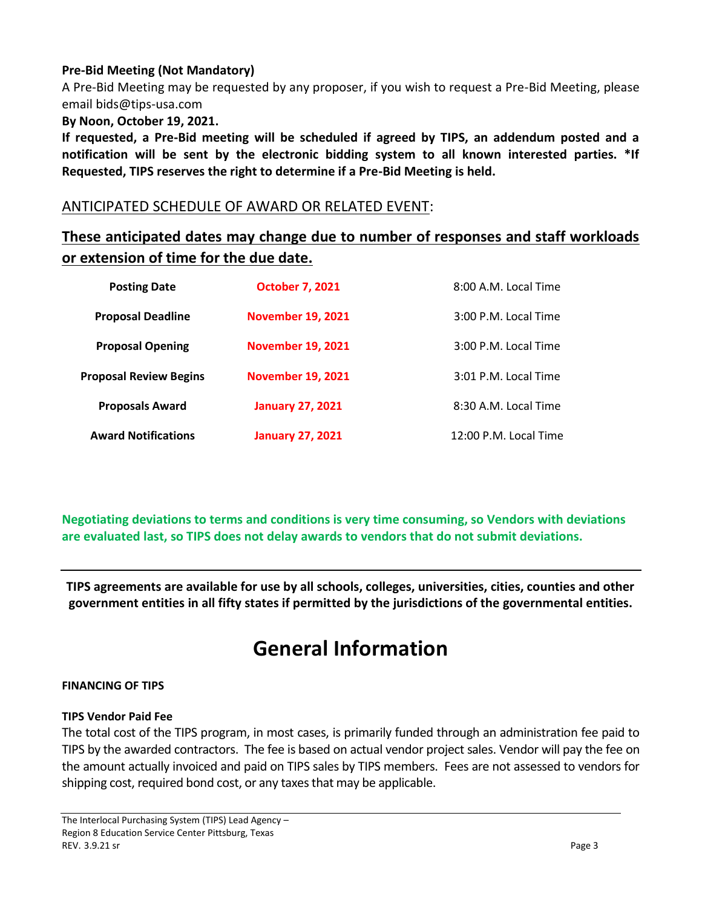# **Pre-Bid Meeting (Not Mandatory)**

A Pre-Bid Meeting may be requested by any proposer, if you wish to request a Pre-Bid Meeting, please email bids@tips-usa.com

#### **By Noon, October 19, 2021.**

**If requested, a Pre-Bid meeting will be scheduled if agreed by TIPS, an addendum posted and a notification will be sent by the electronic bidding system to all known interested parties. \*If Requested, TIPS reserves the right to determine if a Pre-Bid Meeting is held.**

# ANTICIPATED SCHEDULE OF AWARD OR RELATED EVENT:

# **These anticipated dates may change due to number of responses and staff workloads or extension of time for the due date.**

| <b>Posting Date</b>           | <b>October 7, 2021</b>   | 8:00 A.M. Local Time  |
|-------------------------------|--------------------------|-----------------------|
| <b>Proposal Deadline</b>      | <b>November 19, 2021</b> | 3:00 P.M. Local Time  |
| <b>Proposal Opening</b>       | <b>November 19, 2021</b> | 3:00 P.M. Local Time  |
| <b>Proposal Review Begins</b> | <b>November 19, 2021</b> | 3:01 P.M. Local Time  |
| <b>Proposals Award</b>        | <b>January 27, 2021</b>  | 8:30 A.M. Local Time  |
| <b>Award Notifications</b>    | <b>January 27, 2021</b>  | 12:00 P.M. Local Time |

**Negotiating deviations to terms and conditions is very time consuming, so Vendors with deviations are evaluated last, so TIPS does not delay awards to vendors that do not submit deviations.**

**TIPS agreements are available for use by all schools, colleges, universities, cities, counties and other government entities in all fifty states if permitted by the jurisdictions of the governmental entities.**

# **General Information**

#### **FINANCING OF TIPS**

#### **TIPS Vendor Paid Fee**

The total cost of the TIPS program, in most cases, is primarily funded through an administration fee paid to TIPS by the awarded contractors. The fee is based on actual vendor project sales. Vendor will pay the fee on the amount actually invoiced and paid on TIPS sales by TIPS members. Fees are not assessed to vendors for shipping cost, required bond cost, or any taxes that may be applicable.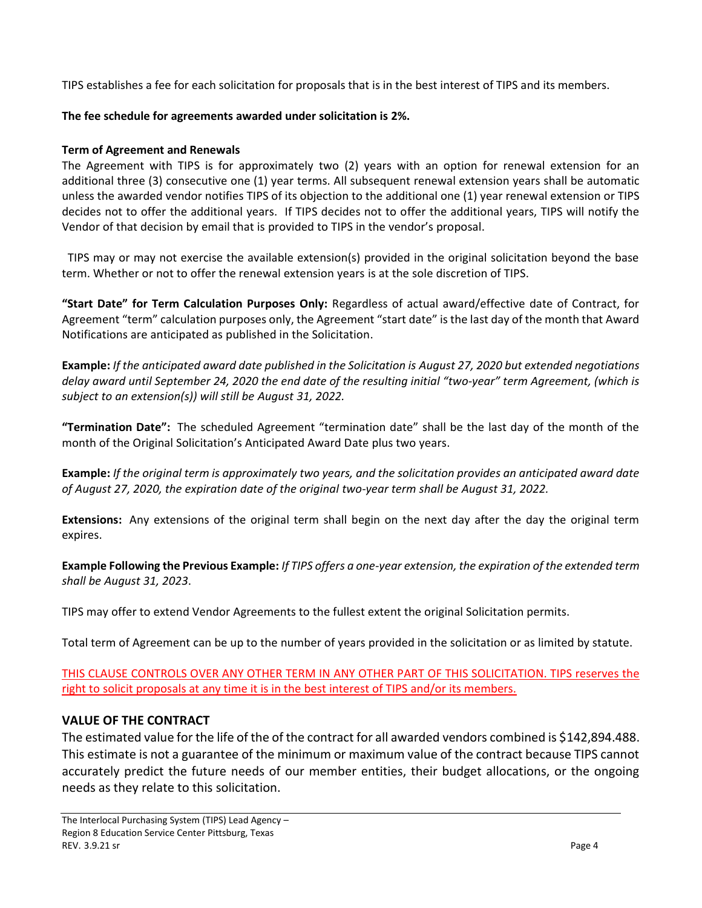TIPS establishes a fee for each solicitation for proposals that is in the best interest of TIPS and its members.

## **The fee schedule for agreements awarded under solicitation is 2%.**

## **Term of Agreement and Renewals**

The Agreement with TIPS is for approximately two (2) years with an option for renewal extension for an additional three (3) consecutive one (1) year terms. All subsequent renewal extension years shall be automatic unless the awarded vendor notifies TIPS of its objection to the additional one (1) year renewal extension or TIPS decides not to offer the additional years. If TIPS decides not to offer the additional years, TIPS will notify the Vendor of that decision by email that is provided to TIPS in the vendor's proposal.

 TIPS may or may not exercise the available extension(s) provided in the original solicitation beyond the base term. Whether or not to offer the renewal extension years is at the sole discretion of TIPS.

**"Start Date" for Term Calculation Purposes Only:** Regardless of actual award/effective date of Contract, for Agreement "term" calculation purposes only, the Agreement "start date" is the last day of the month that Award Notifications are anticipated as published in the Solicitation.

**Example:** *If the anticipated award date published in the Solicitation is August 27, 2020 but extended negotiations delay award until September 24, 2020 the end date of the resulting initial "two-year" term Agreement, (which is subject to an extension(s)) will still be August 31, 2022.*

**"Termination Date":** The scheduled Agreement "termination date" shall be the last day of the month of the month of the Original Solicitation's Anticipated Award Date plus two years.

**Example:** *If the original term is approximately two years, and the solicitation provides an anticipated award date of August 27, 2020, the expiration date of the original two-year term shall be August 31, 2022.*

**Extensions:** Any extensions of the original term shall begin on the next day after the day the original term expires.

**Example Following the Previous Example:** *If TIPS offers a one-year extension, the expiration of the extended term shall be August 31, 2023*.

TIPS may offer to extend Vendor Agreements to the fullest extent the original Solicitation permits.

Total term of Agreement can be up to the number of years provided in the solicitation or as limited by statute.

THIS CLAUSE CONTROLS OVER ANY OTHER TERM IN ANY OTHER PART OF THIS SOLICITATION. TIPS reserves the right to solicit proposals at any time it is in the best interest of TIPS and/or its members.

# **VALUE OF THE CONTRACT**

The estimated value for the life of the of the contract for all awarded vendors combined is \$142,894.488. This estimate is not a guarantee of the minimum or maximum value of the contract because TIPS cannot accurately predict the future needs of our member entities, their budget allocations, or the ongoing needs as they relate to this solicitation.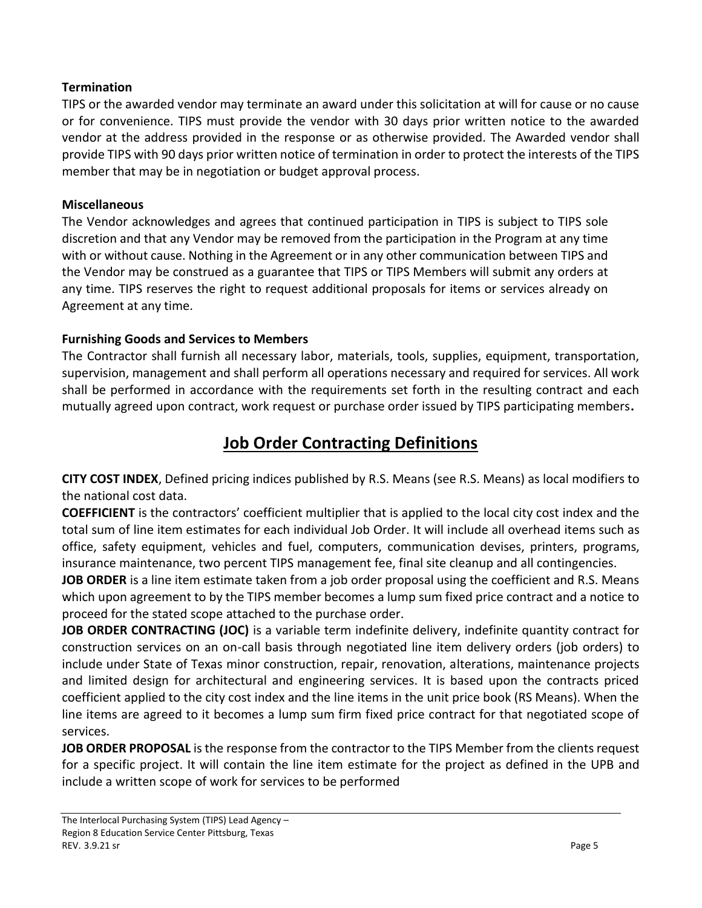# **Termination**

TIPS or the awarded vendor may terminate an award under this solicitation at will for cause or no cause or for convenience. TIPS must provide the vendor with 30 days prior written notice to the awarded vendor at the address provided in the response or as otherwise provided. The Awarded vendor shall provide TIPS with 90 days prior written notice of termination in order to protect the interests of the TIPS member that may be in negotiation or budget approval process.

# **Miscellaneous**

The Vendor acknowledges and agrees that continued participation in TIPS is subject to TIPS sole discretion and that any Vendor may be removed from the participation in the Program at any time with or without cause. Nothing in the Agreement or in any other communication between TIPS and the Vendor may be construed as a guarantee that TIPS or TIPS Members will submit any orders at any time. TIPS reserves the right to request additional proposals for items or services already on Agreement at any time.

# **Furnishing Goods and Services to Members**

The Contractor shall furnish all necessary labor, materials, tools, supplies, equipment, transportation, supervision, management and shall perform all operations necessary and required for services. All work shall be performed in accordance with the requirements set forth in the resulting contract and each mutually agreed upon contract, work request or purchase order issued by TIPS participating members**.**

# **Job Order Contracting Definitions**

**CITY COST INDEX**, Defined pricing indices published by R.S. Means (see R.S. Means) as local modifiers to the national cost data.

**COEFFICIENT** is the contractors' coefficient multiplier that is applied to the local city cost index and the total sum of line item estimates for each individual Job Order. It will include all overhead items such as office, safety equipment, vehicles and fuel, computers, communication devises, printers, programs, insurance maintenance, two percent TIPS management fee, final site cleanup and all contingencies.

**JOB ORDER** is a line item estimate taken from a job order proposal using the coefficient and R.S. Means which upon agreement to by the TIPS member becomes a lump sum fixed price contract and a notice to proceed for the stated scope attached to the purchase order.

**JOB ORDER CONTRACTING (JOC)** is a variable term indefinite delivery, indefinite quantity contract for construction services on an on-call basis through negotiated line item delivery orders (job orders) to include under State of Texas minor construction, repair, renovation, alterations, maintenance projects and limited design for architectural and engineering services. It is based upon the contracts priced coefficient applied to the city cost index and the line items in the unit price book (RS Means). When the line items are agreed to it becomes a lump sum firm fixed price contract for that negotiated scope of services.

**JOB ORDER PROPOSAL** is the response from the contractor to the TIPS Member from the clients request for a specific project. It will contain the line item estimate for the project as defined in the UPB and include a written scope of work for services to be performed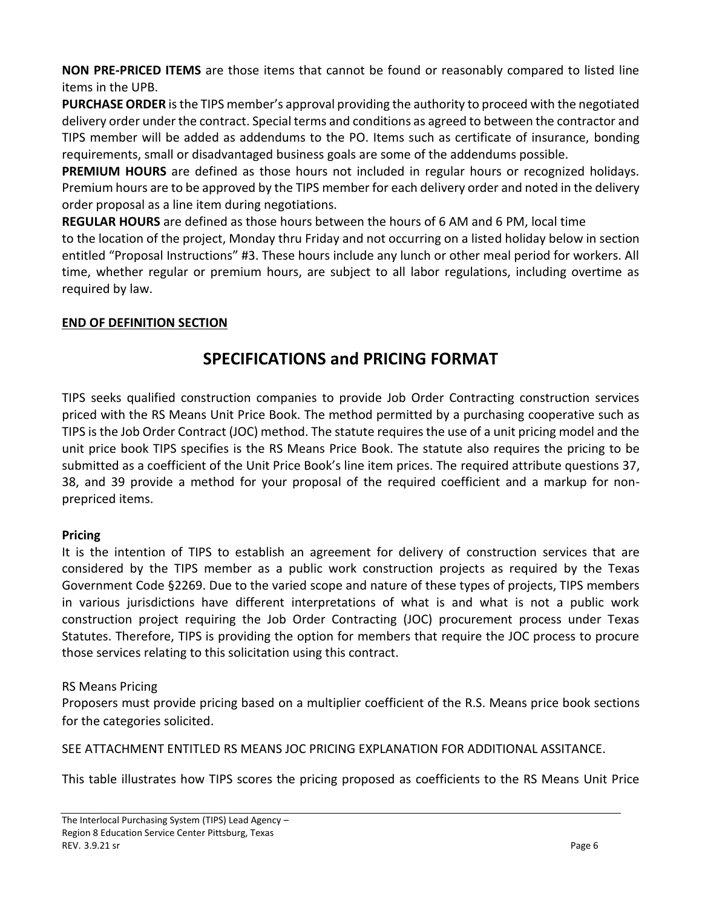**NON PRE-PRICED ITEMS** are those items that cannot be found or reasonably compared to listed line items in the UPB.

**PURCHASE ORDER** is the TIPS member's approval providing the authority to proceed with the negotiated delivery order under the contract. Special terms and conditions as agreed to between the contractor and TIPS member will be added as addendums to the PO. Items such as certificate of insurance, bonding requirements, small or disadvantaged business goals are some of the addendums possible.

**PREMIUM HOURS** are defined as those hours not included in regular hours or recognized holidays. Premium hours are to be approved by the TIPS member for each delivery order and noted in the delivery order proposal as a line item during negotiations.

**REGULAR HOURS** are defined as those hours between the hours of 6 AM and 6 PM, local time

to the location of the project, Monday thru Friday and not occurring on a listed holiday below in section entitled "Proposal Instructions" #3. These hours include any lunch or other meal period for workers. All time, whether regular or premium hours, are subject to all labor regulations, including overtime as required by law.

# **END OF DEFINITION SECTION**

# **SPECIFICATIONS and PRICING FORMAT**

TIPS seeks qualified construction companies to provide Job Order Contracting construction services priced with the RS Means Unit Price Book. The method permitted by a purchasing cooperative such as TIPS is the Job Order Contract (JOC) method. The statute requires the use of a unit pricing model and the unit price book TIPS specifies is the RS Means Price Book. The statute also requires the pricing to be submitted as a coefficient of the Unit Price Book's line item prices. The required attribute questions 37, 38, and 39 provide a method for your proposal of the required coefficient and a markup for nonprepriced items.

# **Pricing**

It is the intention of TIPS to establish an agreement for delivery of construction services that are considered by the TIPS member as a public work construction projects as required by the Texas Government Code §2269. Due to the varied scope and nature of these types of projects, TIPS members in various jurisdictions have different interpretations of what is and what is not a public work construction project requiring the Job Order Contracting (JOC) procurement process under Texas Statutes. Therefore, TIPS is providing the option for members that require the JOC process to procure those services relating to this solicitation using this contract.

# RS Means Pricing

Proposers must provide pricing based on a multiplier coefficient of the R.S. Means price book sections for the categories solicited.

SEE ATTACHMENT ENTITLED RS MEANS JOC PRICING EXPLANATION FOR ADDITIONAL ASSITANCE.

This table illustrates how TIPS scores the pricing proposed as coefficients to the RS Means Unit Price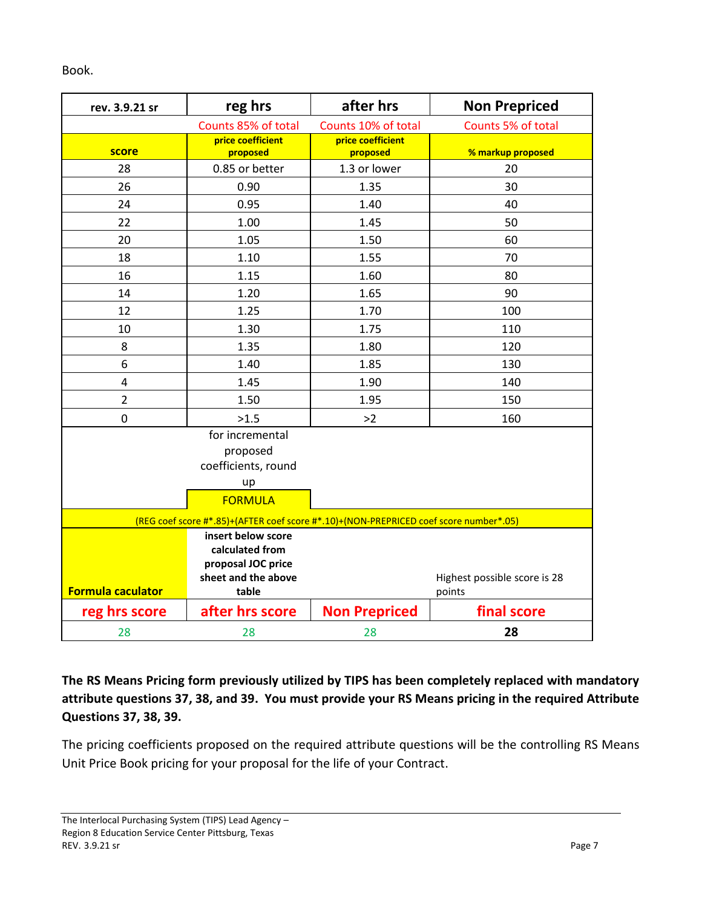Book.

| rev. 3.9.21 sr                                                                        | reg hrs                                                                                     | after hrs                     | <b>Non Prepriced</b>                   |
|---------------------------------------------------------------------------------------|---------------------------------------------------------------------------------------------|-------------------------------|----------------------------------------|
|                                                                                       | Counts 85% of total                                                                         | Counts 10% of total           | Counts 5% of total                     |
| score                                                                                 | price coefficient<br>proposed                                                               | price coefficient<br>proposed | % markup proposed                      |
| 28                                                                                    | 0.85 or better                                                                              | 1.3 or lower                  | 20                                     |
| 26                                                                                    | 0.90                                                                                        | 1.35                          | 30                                     |
| 24                                                                                    | 0.95                                                                                        | 1.40                          | 40                                     |
| 22                                                                                    | 1.00                                                                                        | 1.45                          | 50                                     |
| 20                                                                                    | 1.05                                                                                        | 1.50                          | 60                                     |
| 18                                                                                    | 1.10                                                                                        | 1.55                          | 70                                     |
| 16                                                                                    | 1.15                                                                                        | 1.60                          | 80                                     |
| 14                                                                                    | 1.20                                                                                        | 1.65                          | 90                                     |
| 12                                                                                    | 1.25                                                                                        | 1.70                          | 100                                    |
| 10                                                                                    | 1.30                                                                                        | 1.75                          | 110                                    |
| 8                                                                                     | 1.35                                                                                        | 1.80                          | 120                                    |
| 6                                                                                     | 1.40                                                                                        | 1.85                          | 130                                    |
| 4                                                                                     | 1.45                                                                                        | 1.90                          | 140                                    |
| $\overline{2}$                                                                        | 1.50                                                                                        | 1.95                          | 150                                    |
| 0                                                                                     | >1.5                                                                                        | >2                            | 160                                    |
|                                                                                       | for incremental<br>proposed<br>coefficients, round<br>up<br><b>FORMULA</b>                  |                               |                                        |
| (REG coef score #*.85)+(AFTER coef score #*.10)+(NON-PREPRICED coef score number*.05) |                                                                                             |                               |                                        |
| <b>Formula caculator</b>                                                              | insert below score<br>calculated from<br>proposal JOC price<br>sheet and the above<br>table |                               | Highest possible score is 28<br>points |
| reg hrs score                                                                         | after hrs score                                                                             | <b>Non Prepriced</b>          | final score                            |
| 28                                                                                    | 28                                                                                          | 28                            | 28                                     |

**The RS Means Pricing form previously utilized by TIPS has been completely replaced with mandatory attribute questions 37, 38, and 39. You must provide your RS Means pricing in the required Attribute Questions 37, 38, 39.**

The pricing coefficients proposed on the required attribute questions will be the controlling RS Means Unit Price Book pricing for your proposal for the life of your Contract.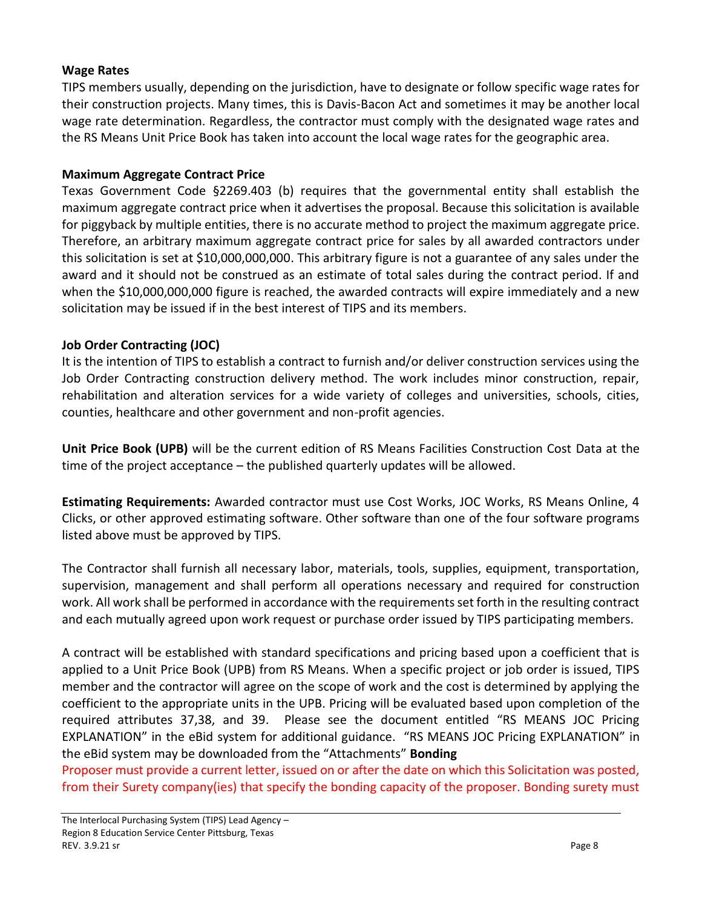# **Wage Rates**

TIPS members usually, depending on the jurisdiction, have to designate or follow specific wage rates for their construction projects. Many times, this is Davis-Bacon Act and sometimes it may be another local wage rate determination. Regardless, the contractor must comply with the designated wage rates and the RS Means Unit Price Book has taken into account the local wage rates for the geographic area.

### **Maximum Aggregate Contract Price**

Texas Government Code §2269.403 (b) requires that the governmental entity shall establish the maximum aggregate contract price when it advertises the proposal. Because this solicitation is available for piggyback by multiple entities, there is no accurate method to project the maximum aggregate price. Therefore, an arbitrary maximum aggregate contract price for sales by all awarded contractors under this solicitation is set at \$10,000,000,000. This arbitrary figure is not a guarantee of any sales under the award and it should not be construed as an estimate of total sales during the contract period. If and when the \$10,000,000,000 figure is reached, the awarded contracts will expire immediately and a new solicitation may be issued if in the best interest of TIPS and its members.

# **Job Order Contracting (JOC)**

It is the intention of TIPS to establish a contract to furnish and/or deliver construction services using the Job Order Contracting construction delivery method. The work includes minor construction, repair, rehabilitation and alteration services for a wide variety of colleges and universities, schools, cities, counties, healthcare and other government and non-profit agencies.

**Unit Price Book (UPB)** will be the current edition of RS Means Facilities Construction Cost Data at the time of the project acceptance – the published quarterly updates will be allowed.

**Estimating Requirements:** Awarded contractor must use Cost Works, JOC Works, RS Means Online, 4 Clicks, or other approved estimating software. Other software than one of the four software programs listed above must be approved by TIPS.

The Contractor shall furnish all necessary labor, materials, tools, supplies, equipment, transportation, supervision, management and shall perform all operations necessary and required for construction work. All work shall be performed in accordance with the requirements set forth in the resulting contract and each mutually agreed upon work request or purchase order issued by TIPS participating members.

A contract will be established with standard specifications and pricing based upon a coefficient that is applied to a Unit Price Book (UPB) from RS Means. When a specific project or job order is issued, TIPS member and the contractor will agree on the scope of work and the cost is determined by applying the coefficient to the appropriate units in the UPB. Pricing will be evaluated based upon completion of the required attributes 37,38, and 39. Please see the document entitled "RS MEANS JOC Pricing EXPLANATION" in the eBid system for additional guidance. "RS MEANS JOC Pricing EXPLANATION" in the eBid system may be downloaded from the "Attachments" **Bonding** 

Proposer must provide a current letter, issued on or after the date on which this Solicitation was posted, from their Surety company(ies) that specify the bonding capacity of the proposer. Bonding surety must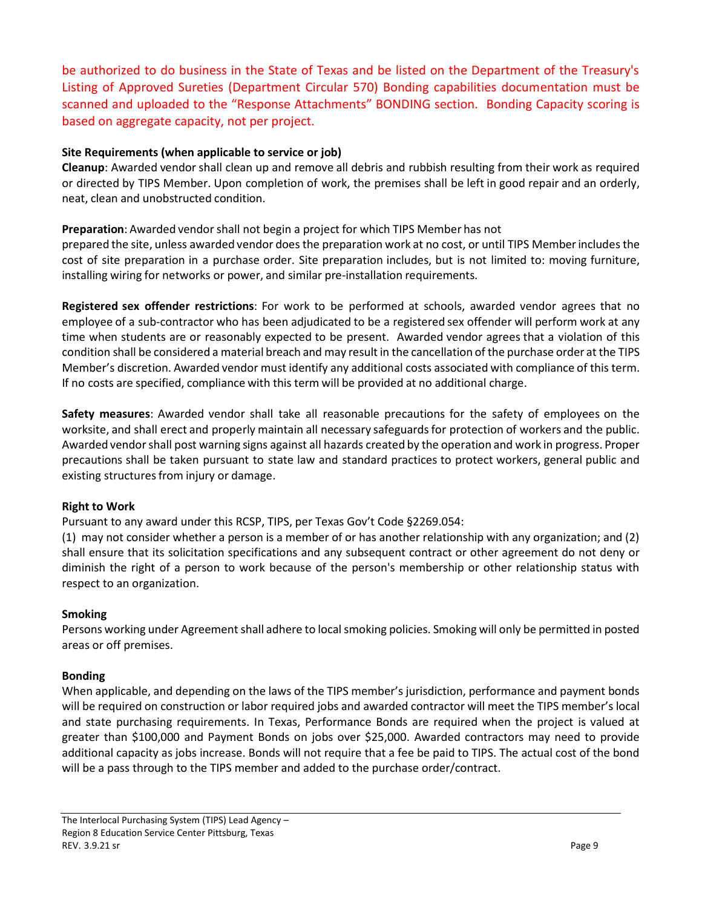be authorized to do business in the State of Texas and be listed on the Department of the Treasury's Listing of Approved Sureties (Department Circular 570) Bonding capabilities documentation must be scanned and uploaded to the "Response Attachments" BONDING section. Bonding Capacity scoring is based on aggregate capacity, not per project.

#### **Site Requirements (when applicable to service or job)**

**Cleanup**: Awarded vendor shall clean up and remove all debris and rubbish resulting from their work as required or directed by TIPS Member. Upon completion of work, the premises shall be left in good repair and an orderly, neat, clean and unobstructed condition.

#### **Preparation**: Awarded vendor shall not begin a project for which TIPS Member has not

prepared the site, unless awarded vendor does the preparation work at no cost, or until TIPS Memberincludesthe cost of site preparation in a purchase order. Site preparation includes, but is not limited to: moving furniture, installing wiring for networks or power, and similar pre-installation requirements.

**Registered sex offender restrictions**: For work to be performed at schools, awarded vendor agrees that no employee of a sub-contractor who has been adjudicated to be a registered sex offender will perform work at any time when students are or reasonably expected to be present. Awarded vendor agrees that a violation of this condition shall be considered a material breach and may result in the cancellation of the purchase order at the TIPS Member's discretion. Awarded vendor must identify any additional costs associated with compliance of this term. If no costs are specified, compliance with this term will be provided at no additional charge.

**Safety measures**: Awarded vendor shall take all reasonable precautions for the safety of employees on the worksite, and shall erect and properly maintain all necessary safeguardsfor protection of workers and the public. Awarded vendorshall post warning signs against all hazards created by the operation and work in progress. Proper precautions shall be taken pursuant to state law and standard practices to protect workers, general public and existing structures from injury or damage.

#### **Right to Work**

Pursuant to any award under this RCSP, TIPS, per Texas Gov't Code §2269.054:

(1) may not consider whether a person is a member of or has another relationship with any organization; and (2) shall ensure that its solicitation specifications and any subsequent contract or other agreement do not deny or diminish the right of a person to work because of the person's membership or other relationship status with respect to an organization.

#### **Smoking**

Persons working under Agreement shall adhere to local smoking policies. Smoking will only be permitted in posted areas or off premises.

#### **Bonding**

When applicable, and depending on the laws of the TIPS member's jurisdiction, performance and payment bonds will be required on construction or labor required jobs and awarded contractor will meet the TIPS member's local and state purchasing requirements. In Texas, Performance Bonds are required when the project is valued at greater than \$100,000 and Payment Bonds on jobs over \$25,000. Awarded contractors may need to provide additional capacity as jobs increase. Bonds will not require that a fee be paid to TIPS. The actual cost of the bond will be a pass through to the TIPS member and added to the purchase order/contract.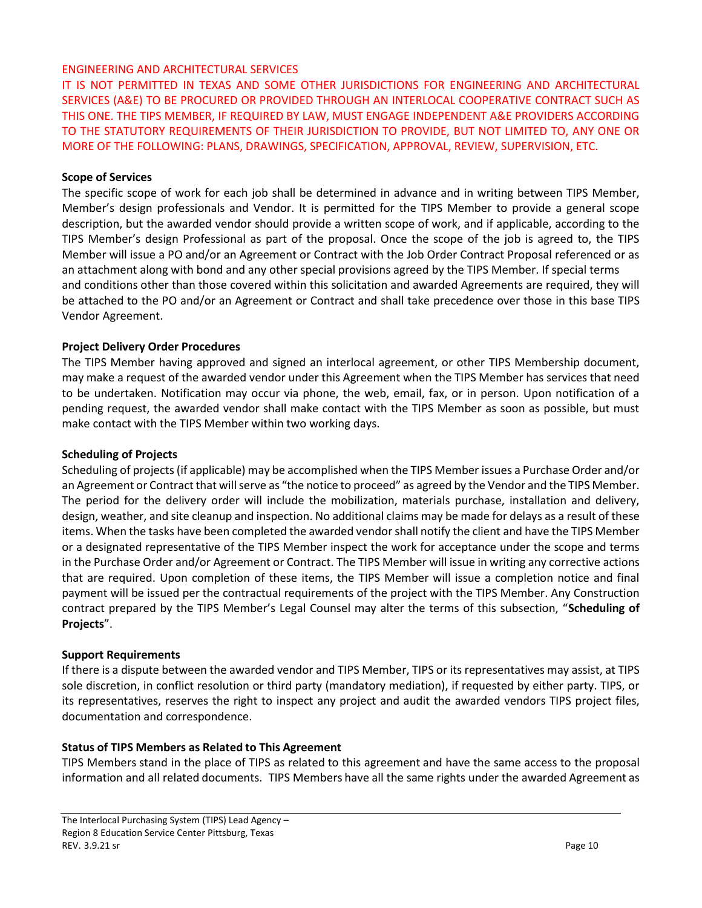#### ENGINEERING AND ARCHITECTURAL SERVICES

IT IS NOT PERMITTED IN TEXAS AND SOME OTHER JURISDICTIONS FOR ENGINEERING AND ARCHITECTURAL SERVICES (A&E) TO BE PROCURED OR PROVIDED THROUGH AN INTERLOCAL COOPERATIVE CONTRACT SUCH AS THIS ONE. THE TIPS MEMBER, IF REQUIRED BY LAW, MUST ENGAGE INDEPENDENT A&E PROVIDERS ACCORDING TO THE STATUTORY REQUIREMENTS OF THEIR JURISDICTION TO PROVIDE, BUT NOT LIMITED TO, ANY ONE OR MORE OF THE FOLLOWING: PLANS, DRAWINGS, SPECIFICATION, APPROVAL, REVIEW, SUPERVISION, ETC.

#### **Scope of Services**

The specific scope of work for each job shall be determined in advance and in writing between TIPS Member, Member's design professionals and Vendor. It is permitted for the TIPS Member to provide a general scope description, but the awarded vendor should provide a written scope of work, and if applicable, according to the TIPS Member's design Professional as part of the proposal. Once the scope of the job is agreed to, the TIPS Member will issue a PO and/or an Agreement or Contract with the Job Order Contract Proposal referenced or as an attachment along with bond and any other special provisions agreed by the TIPS Member. If special terms and conditions other than those covered within this solicitation and awarded Agreements are required, they will be attached to the PO and/or an Agreement or Contract and shall take precedence over those in this base TIPS Vendor Agreement.

#### **Project Delivery Order Procedures**

The TIPS Member having approved and signed an interlocal agreement, or other TIPS Membership document, may make a request of the awarded vendor under this Agreement when the TIPS Member has services that need to be undertaken. Notification may occur via phone, the web, email, fax, or in person. Upon notification of a pending request, the awarded vendor shall make contact with the TIPS Member as soon as possible, but must make contact with the TIPS Member within two working days.

#### **Scheduling of Projects**

Scheduling of projects (if applicable) may be accomplished when the TIPS Member issues a Purchase Order and/or an Agreement or Contract that will serve as "the notice to proceed" as agreed by the Vendor and the TIPS Member. The period for the delivery order will include the mobilization, materials purchase, installation and delivery, design, weather, and site cleanup and inspection. No additional claims may be made for delays as a result of these items. When the tasks have been completed the awarded vendor shall notify the client and have the TIPS Member or a designated representative of the TIPS Member inspect the work for acceptance under the scope and terms in the Purchase Order and/or Agreement or Contract. The TIPS Member will issue in writing any corrective actions that are required. Upon completion of these items, the TIPS Member will issue a completion notice and final payment will be issued per the contractual requirements of the project with the TIPS Member. Any Construction contract prepared by the TIPS Member's Legal Counsel may alter the terms of this subsection, "**Scheduling of Projects**".

#### **Support Requirements**

If there is a dispute between the awarded vendor and TIPS Member, TIPS or its representatives may assist, at TIPS sole discretion, in conflict resolution or third party (mandatory mediation), if requested by either party. TIPS, or its representatives, reserves the right to inspect any project and audit the awarded vendors TIPS project files, documentation and correspondence.

#### **Status of TIPS Members as Related to This Agreement**

TIPS Members stand in the place of TIPS as related to this agreement and have the same access to the proposal information and all related documents. TIPS Members have all the same rights under the awarded Agreement as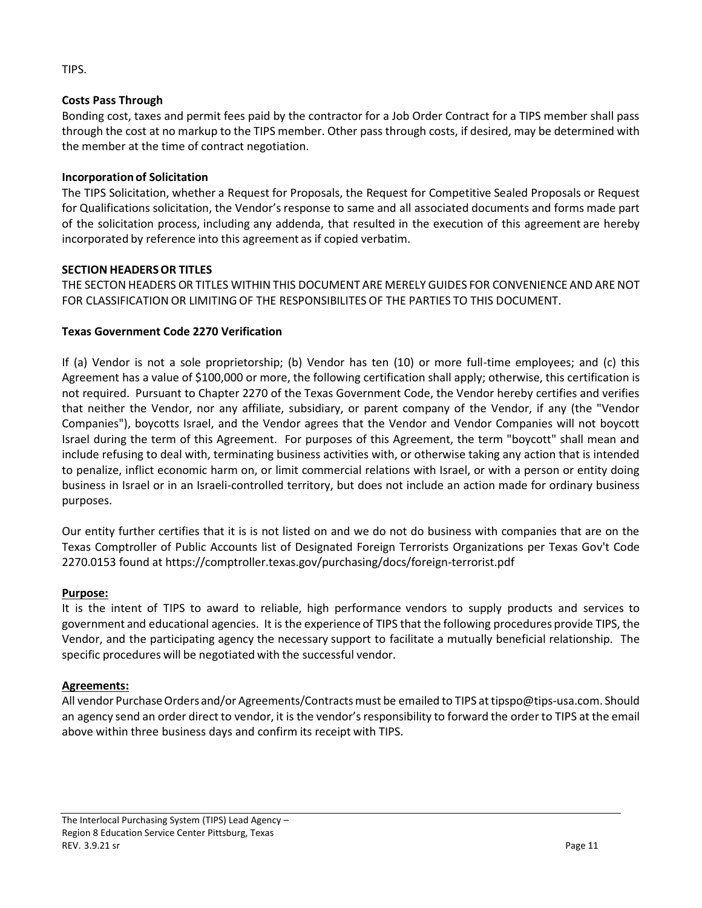### TIPS.

#### **Costs Pass Through**

Bonding cost, taxes and permit fees paid by the contractor for a Job Order Contract for a TIPS member shall pass through the cost at no markup to the TIPS member. Other pass through costs, if desired, may be determined with the member at the time of contract negotiation.

#### **Incorporation of Solicitation**

The TIPS Solicitation, whether a Request for Proposals, the Request for Competitive Sealed Proposals or Request for Qualifications solicitation, the Vendor's response to same and all associated documents and forms made part of the solicitation process, including any addenda, that resulted in the execution of this agreement are hereby incorporated by reference into this agreement as if copied verbatim.

#### **SECTION HEADERSOR TITLES**

THE SECTON HEADERS OR TITLES WITHINTHIS DOCUMENT ARE MERELY GUIDES FOR CONVENIENCE AND ARE NOT FOR CLASSIFICATION OR LIMITINGOF THE RESPONSIBILITES OF THE PARTIES TO THIS DOCUMENT.

#### **Texas Government Code 2270 Verification**

If (a) Vendor is not a sole proprietorship; (b) Vendor has ten (10) or more full-time employees; and (c) this Agreement has a value of \$100,000 or more, the following certification shall apply; otherwise, this certification is not required. Pursuant to Chapter 2270 of the Texas Government Code, the Vendor hereby certifies and verifies that neither the Vendor, nor any affiliate, subsidiary, or parent company of the Vendor, if any (the "Vendor Companies"), boycotts Israel, and the Vendor agrees that the Vendor and Vendor Companies will not boycott Israel during the term of this Agreement. For purposes of this Agreement, the term "boycott" shall mean and include refusing to deal with, terminating business activities with, or otherwise taking any action that is intended to penalize, inflict economic harm on, or limit commercial relations with Israel, or with a person or entity doing business in Israel or in an Israeli-controlled territory, but does not include an action made for ordinary business purposes.

Our entity further certifies that it is is not listed on and we do not do business with companies that are on the Texas Comptroller of Public Accounts list of Designated Foreign Terrorists Organizations per Texas Gov't Code 2270.0153 found at https://comptroller.texas.gov/purchasing/docs/foreign-terrorist.pdf

#### **Purpose:**

It is the intent of TIPS to award to reliable, high performance vendors to supply products and services to government and educational agencies. It is the experience of TIPS that the following procedures provide TIPS, the Vendor, and the participating agency the necessary support to facilitate a mutually beneficial relationship. The specific procedures will be negotiated with the successful vendor.

#### **Agreements:**

All vendor Purchase Orders and/or Agreements/Contracts must be emailed to TIPS at tipspo@tips-usa.com. Should an agency send an order direct to vendor, it is the vendor's responsibility to forward the order to TIPS at the email above within three business days and confirm its receipt with TIPS.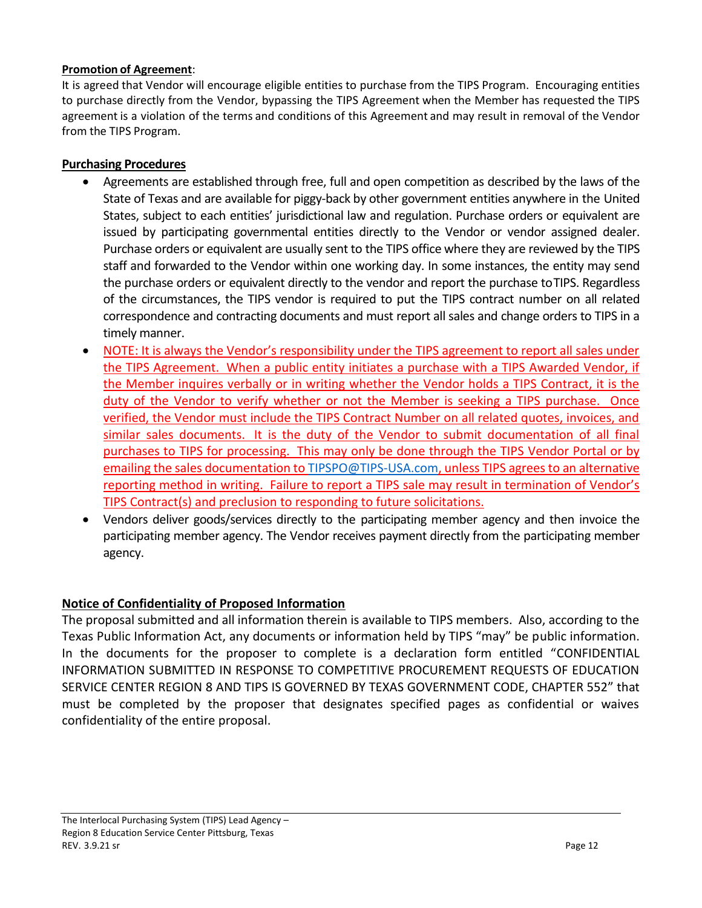### **Promotion of Agreement**:

It is agreed that Vendor will encourage eligible entities to purchase from the TIPS Program. Encouraging entities to purchase directly from the Vendor, bypassing the TIPS Agreement when the Member has requested the TIPS agreement is a violation of the terms and conditions of this Agreement and may result in removal of the Vendor from the TIPS Program.

# **Purchasing Procedures**

- Agreements are established through free, full and open competition as described by the laws of the State of Texas and are available for piggy-back by other government entities anywhere in the United States, subject to each entities' jurisdictional law and regulation. Purchase orders or equivalent are issued by participating governmental entities directly to the Vendor or vendor assigned dealer. Purchase orders or equivalent are usually sent to the TIPS office where they are reviewed by the TIPS staff and forwarded to the Vendor within one working day. In some instances, the entity may send the purchase orders or equivalent directly to the vendor and report the purchase toTIPS. Regardless of the circumstances, the TIPS vendor is required to put the TIPS contract number on all related correspondence and contracting documents and must report all sales and change orders to TIPS in a timely manner.
- NOTE: It is always the Vendor's responsibility under the TIPS agreement to report all sales under the TIPS Agreement. When a public entity initiates a purchase with a TIPS Awarded Vendor, if the Member inquires verbally or in writing whether the Vendor holds a TIPS Contract, it is the duty of the Vendor to verify whether or not the Member is seeking a TIPS purchase. Once verified, the Vendor must include the TIPS Contract Number on all related quotes, invoices, and similar sales documents. It is the duty of the Vendor to submit documentation of all final purchases to TIPS for processing. This may only be done through the TIPS Vendor Portal or by emailing the sales documentation t[o TIPSPO@TIPS-USA.com,](mailto:TIPSPO@TIPS-USA.com) unless TIPS agrees to an alternative reporting method in writing. Failure to report a TIPS sale may result in termination of Vendor's TIPS Contract(s) and preclusion to responding to future solicitations.
- Vendors deliver goods/services directly to the participating member agency and then invoice the participating member agency. The Vendor receives payment directly from the participating member agency.

# **Notice of Confidentiality of Proposed Information**

The proposal submitted and all information therein is available to TIPS members. Also, according to the Texas Public Information Act, any documents or information held by TIPS "may" be public information. In the documents for the proposer to complete is a declaration form entitled "CONFIDENTIAL INFORMATION SUBMITTED IN RESPONSE TO COMPETITIVE PROCUREMENT REQUESTS OF EDUCATION SERVICE CENTER REGION 8 AND TIPS IS GOVERNED BY TEXAS GOVERNMENT CODE, CHAPTER 552" that must be completed by the proposer that designates specified pages as confidential or waives confidentiality of the entire proposal.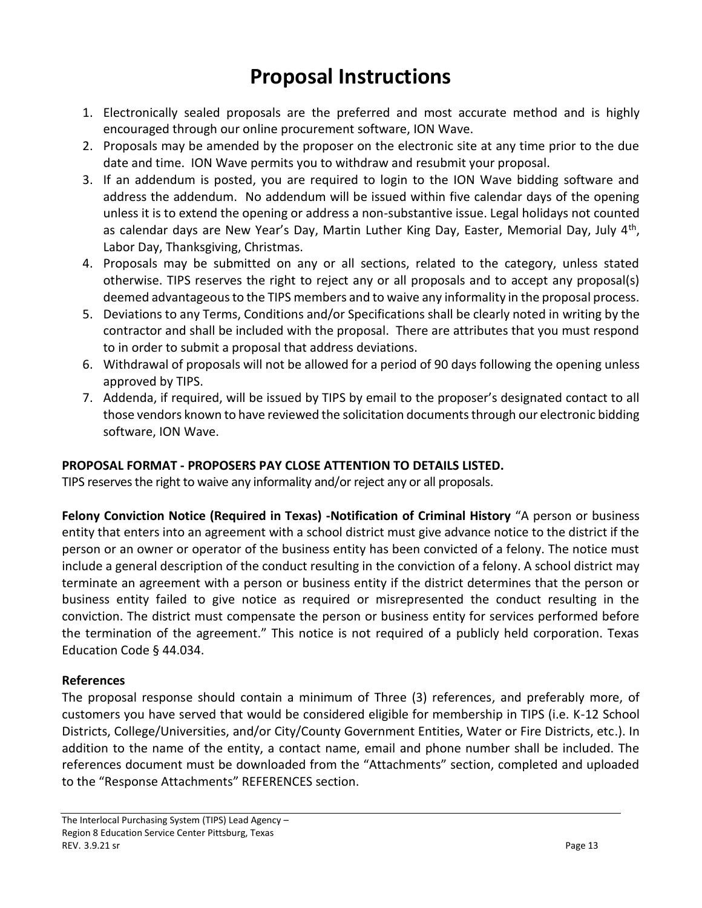# **Proposal Instructions**

- 1. Electronically sealed proposals are the preferred and most accurate method and is highly encouraged through our online procurement software, ION Wave.
- 2. Proposals may be amended by the proposer on the electronic site at any time prior to the due date and time. ION Wave permits you to withdraw and resubmit your proposal.
- 3. If an addendum is posted, you are required to login to the ION Wave bidding software and address the addendum. No addendum will be issued within five calendar days of the opening unless it is to extend the opening or address a non-substantive issue. Legal holidays not counted as calendar days are New Year's Day, Martin Luther King Day, Easter, Memorial Day, July 4<sup>th</sup>, Labor Day, Thanksgiving, Christmas.
- 4. Proposals may be submitted on any or all sections, related to the category, unless stated otherwise. TIPS reserves the right to reject any or all proposals and to accept any proposal(s) deemed advantageous to the TIPS members and to waive any informality in the proposal process.
- 5. Deviations to any Terms, Conditions and/or Specifications shall be clearly noted in writing by the contractor and shall be included with the proposal. There are attributes that you must respond to in order to submit a proposal that address deviations.
- 6. Withdrawal of proposals will not be allowed for a period of 90 days following the opening unless approved by TIPS.
- 7. Addenda, if required, will be issued by TIPS by email to the proposer's designated contact to all those vendors known to have reviewed the solicitation documents through our electronic bidding software, ION Wave.

# **PROPOSAL FORMAT - PROPOSERS PAY CLOSE ATTENTION TO DETAILS LISTED.**

TIPS reserves the right to waive any informality and/or reject any or all proposals.

**Felony Conviction Notice (Required in Texas) -Notification of Criminal History** "A person or business entity that enters into an agreement with a school district must give advance notice to the district if the person or an owner or operator of the business entity has been convicted of a felony. The notice must include a general description of the conduct resulting in the conviction of a felony. A school district may terminate an agreement with a person or business entity if the district determines that the person or business entity failed to give notice as required or misrepresented the conduct resulting in the conviction. The district must compensate the person or business entity for services performed before the termination of the agreement." This notice is not required of a publicly held corporation. Texas Education Code § 44.034.

# **References**

The proposal response should contain a minimum of Three (3) references, and preferably more, of customers you have served that would be considered eligible for membership in TIPS (i.e. K-12 School Districts, College/Universities, and/or City/County Government Entities, Water or Fire Districts, etc.). In addition to the name of the entity, a contact name, email and phone number shall be included. The references document must be downloaded from the "Attachments" section, completed and uploaded to the "Response Attachments" REFERENCES section.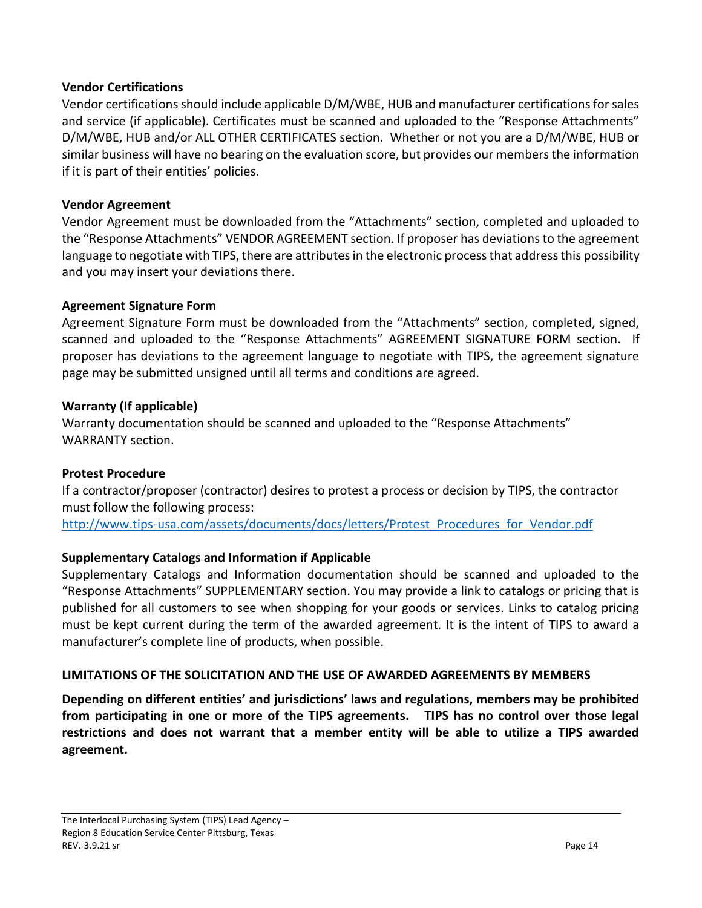## **Vendor Certifications**

Vendor certifications should include applicable D/M/WBE, HUB and manufacturer certifications for sales and service (if applicable). Certificates must be scanned and uploaded to the "Response Attachments" D/M/WBE, HUB and/or ALL OTHER CERTIFICATES section. Whether or not you are a D/M/WBE, HUB or similar business will have no bearing on the evaluation score, but provides our members the information if it is part of their entities' policies.

# **Vendor Agreement**

Vendor Agreement must be downloaded from the "Attachments" section, completed and uploaded to the "Response Attachments" VENDOR AGREEMENT section. If proposer has deviations to the agreement language to negotiate with TIPS, there are attributes in the electronic process that address this possibility and you may insert your deviations there.

# **Agreement Signature Form**

Agreement Signature Form must be downloaded from the "Attachments" section, completed, signed, scanned and uploaded to the "Response Attachments" AGREEMENT SIGNATURE FORM section. If proposer has deviations to the agreement language to negotiate with TIPS, the agreement signature page may be submitted unsigned until all terms and conditions are agreed.

# **Warranty (If applicable)**

Warranty documentation should be scanned and uploaded to the "Response Attachments" WARRANTY section.

# **Protest Procedure**

If a contractor/proposer (contractor) desires to protest a process or decision by TIPS, the contractor must follow the following process:

[http://www.tips-usa.com/assets/documents/docs/letters/Protest\\_Procedures\\_for\\_Vendor.pdf](http://www.tips-usa.com/assets/documents/docs/letters/Protest_Procedures_for_Vendor.pdf)

# **Supplementary Catalogs and Information if Applicable**

Supplementary Catalogs and Information documentation should be scanned and uploaded to the "Response Attachments" SUPPLEMENTARY section. You may provide a link to catalogs or pricing that is published for all customers to see when shopping for your goods or services. Links to catalog pricing must be kept current during the term of the awarded agreement. It is the intent of TIPS to award a manufacturer's complete line of products, when possible.

### **LIMITATIONS OF THE SOLICITATION AND THE USE OF AWARDED AGREEMENTS BY MEMBERS**

**Depending on different entities' and jurisdictions' laws and regulations, members may be prohibited from participating in one or more of the TIPS agreements. TIPS has no control over those legal restrictions and does not warrant that a member entity will be able to utilize a TIPS awarded agreement.**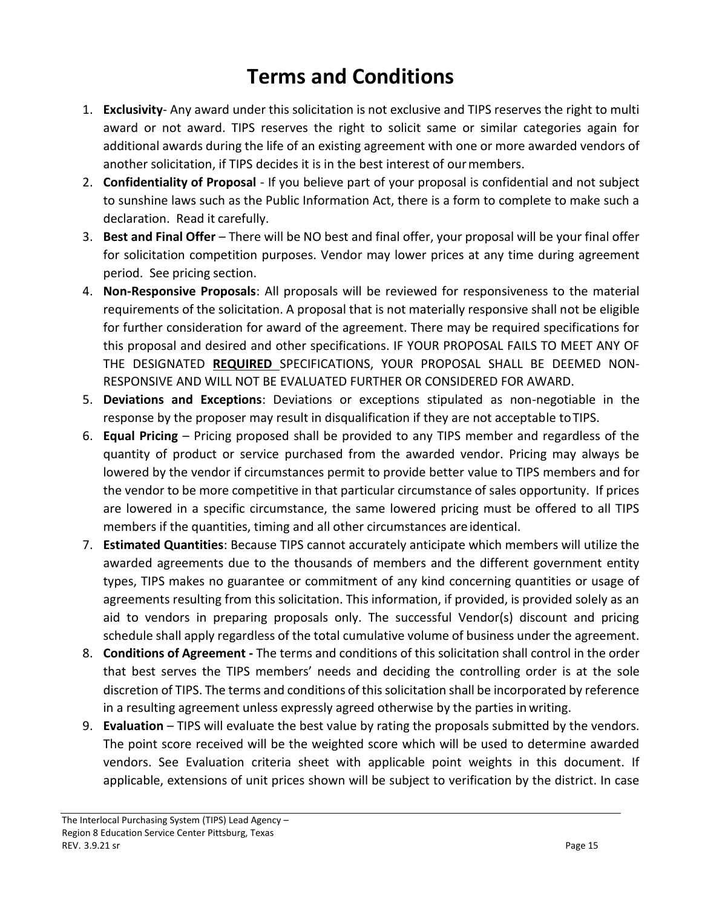# **Terms and Conditions**

- 1. **Exclusivity** Any award under this solicitation is not exclusive and TIPS reserves the right to multi award or not award. TIPS reserves the right to solicit same or similar categories again for additional awards during the life of an existing agreement with one or more awarded vendors of another solicitation, if TIPS decides it is in the best interest of ourmembers.
- 2. **Confidentiality of Proposal**  If you believe part of your proposal is confidential and not subject to sunshine laws such as the Public Information Act, there is a form to complete to make such a declaration. Read it carefully.
- 3. **Best and Final Offer** There will be NO best and final offer, your proposal will be your final offer for solicitation competition purposes. Vendor may lower prices at any time during agreement period. See pricing section.
- 4. **Non-Responsive Proposals**: All proposals will be reviewed for responsiveness to the material requirements of the solicitation. A proposal that is not materially responsive shall not be eligible for further consideration for award of the agreement. There may be required specifications for this proposal and desired and other specifications. IF YOUR PROPOSAL FAILS TO MEET ANY OF THE DESIGNATED **REQUIRED** SPECIFICATIONS, YOUR PROPOSAL SHALL BE DEEMED NON-RESPONSIVE AND WILL NOT BE EVALUATED FURTHER OR CONSIDERED FOR AWARD.
- 5. **Deviations and Exceptions**: Deviations or exceptions stipulated as non-negotiable in the response by the proposer may result in disqualification if they are not acceptable toTIPS.
- 6. **Equal Pricing**  Pricing proposed shall be provided to any TIPS member and regardless of the quantity of product or service purchased from the awarded vendor. Pricing may always be lowered by the vendor if circumstances permit to provide better value to TIPS members and for the vendor to be more competitive in that particular circumstance of sales opportunity. If prices are lowered in a specific circumstance, the same lowered pricing must be offered to all TIPS members if the quantities, timing and all other circumstances are identical.
- 7. **Estimated Quantities**: Because TIPS cannot accurately anticipate which members will utilize the awarded agreements due to the thousands of members and the different government entity types, TIPS makes no guarantee or commitment of any kind concerning quantities or usage of agreements resulting from this solicitation. This information, if provided, is provided solely as an aid to vendors in preparing proposals only. The successful Vendor(s) discount and pricing schedule shall apply regardless of the total cumulative volume of business under the agreement.
- 8. **Conditions of Agreement -** The terms and conditions of this solicitation shall control in the order that best serves the TIPS members' needs and deciding the controlling order is at the sole discretion of TIPS. The terms and conditions of this solicitation shall be incorporated by reference in a resulting agreement unless expressly agreed otherwise by the parties in writing.
- 9. **Evaluation** TIPS will evaluate the best value by rating the proposals submitted by the vendors. The point score received will be the weighted score which will be used to determine awarded vendors. See Evaluation criteria sheet with applicable point weights in this document. If applicable, extensions of unit prices shown will be subject to verification by the district. In case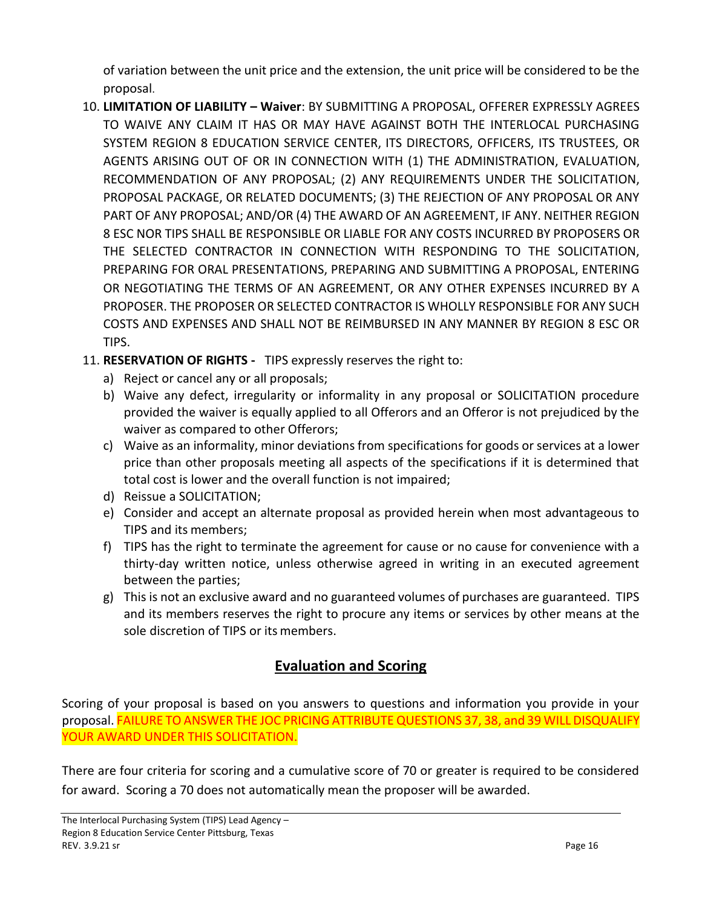of variation between the unit price and the extension, the unit price will be considered to be the proposal.

- 10. **LIMITATION OF LIABILITY – Waiver**: BY SUBMITTING A PROPOSAL, OFFERER EXPRESSLY AGREES TO WAIVE ANY CLAIM IT HAS OR MAY HAVE AGAINST BOTH THE INTERLOCAL PURCHASING SYSTEM REGION 8 EDUCATION SERVICE CENTER, ITS DIRECTORS, OFFICERS, ITS TRUSTEES, OR AGENTS ARISING OUT OF OR IN CONNECTION WITH (1) THE ADMINISTRATION, EVALUATION, RECOMMENDATION OF ANY PROPOSAL; (2) ANY REQUIREMENTS UNDER THE SOLICITATION, PROPOSAL PACKAGE, OR RELATED DOCUMENTS; (3) THE REJECTION OF ANY PROPOSAL OR ANY PART OF ANY PROPOSAL; AND/OR (4) THE AWARD OF AN AGREEMENT, IF ANY. NEITHER REGION 8 ESC NOR TIPS SHALL BE RESPONSIBLE OR LIABLE FOR ANY COSTS INCURRED BY PROPOSERS OR THE SELECTED CONTRACTOR IN CONNECTION WITH RESPONDING TO THE SOLICITATION, PREPARING FOR ORAL PRESENTATIONS, PREPARING AND SUBMITTING A PROPOSAL, ENTERING OR NEGOTIATING THE TERMS OF AN AGREEMENT, OR ANY OTHER EXPENSES INCURRED BY A PROPOSER. THE PROPOSER OR SELECTED CONTRACTOR IS WHOLLY RESPONSIBLE FOR ANY SUCH COSTS AND EXPENSES AND SHALL NOT BE REIMBURSED IN ANY MANNER BY REGION 8 ESC OR TIPS.
- 11. **RESERVATION OF RIGHTS** TIPS expressly reserves the right to:
	- a) Reject or cancel any or all proposals;
	- b) Waive any defect, irregularity or informality in any proposal or SOLICITATION procedure provided the waiver is equally applied to all Offerors and an Offeror is not prejudiced by the waiver as compared to other Offerors;
	- c) Waive as an informality, minor deviations from specifications for goods or services at a lower price than other proposals meeting all aspects of the specifications if it is determined that total cost is lower and the overall function is not impaired;
	- d) Reissue a SOLICITATION;
	- e) Consider and accept an alternate proposal as provided herein when most advantageous to TIPS and its members;
	- f) TIPS has the right to terminate the agreement for cause or no cause for convenience with a thirty-day written notice, unless otherwise agreed in writing in an executed agreement between the parties;
	- g) This is not an exclusive award and no guaranteed volumes of purchases are guaranteed. TIPS and its members reserves the right to procure any items or services by other means at the sole discretion of TIPS or its members.

# **Evaluation and Scoring**

Scoring of your proposal is based on you answers to questions and information you provide in your proposal. FAILURE TO ANSWER THE JOC PRICING ATTRIBUTE QUESTIONS 37, 38, and 39 WILL DISQUALIFY YOUR AWARD UNDER THIS SOLICITATION.

There are four criteria for scoring and a cumulative score of 70 or greater is required to be considered for award. Scoring a 70 does not automatically mean the proposer will be awarded.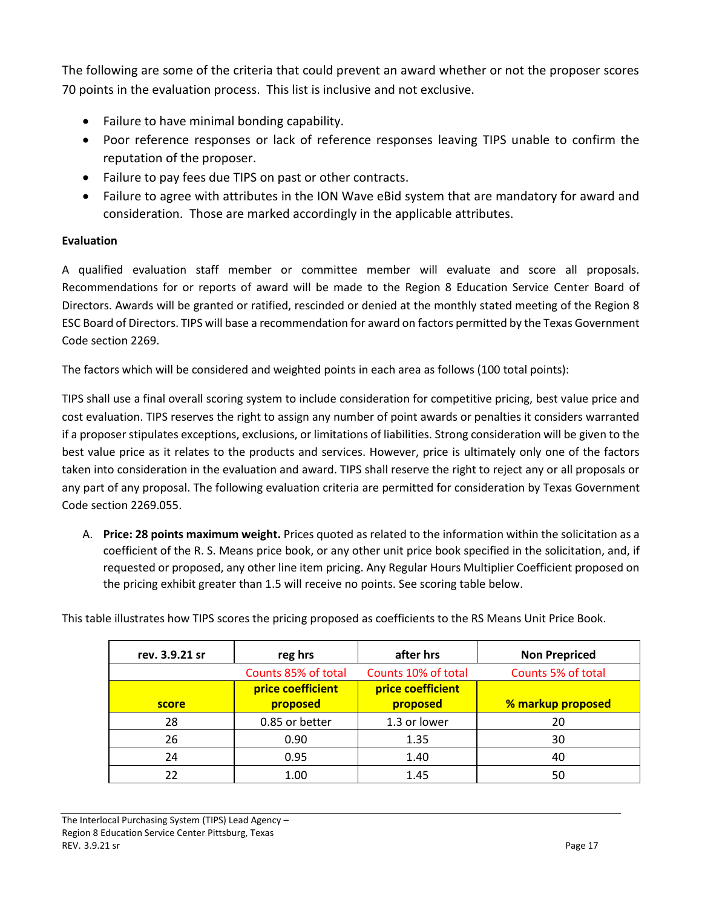The following are some of the criteria that could prevent an award whether or not the proposer scores 70 points in the evaluation process. This list is inclusive and not exclusive.

- Failure to have minimal bonding capability.
- Poor reference responses or lack of reference responses leaving TIPS unable to confirm the reputation of the proposer.
- Failure to pay fees due TIPS on past or other contracts.
- Failure to agree with attributes in the ION Wave eBid system that are mandatory for award and consideration. Those are marked accordingly in the applicable attributes.

### **Evaluation**

A qualified evaluation staff member or committee member will evaluate and score all proposals. Recommendations for or reports of award will be made to the Region 8 Education Service Center Board of Directors. Awards will be granted or ratified, rescinded or denied at the monthly stated meeting of the Region 8 ESC Board of Directors. TIPS will base a recommendation for award on factors permitted by the Texas Government Code section 2269.

The factors which will be considered and weighted points in each area as follows (100 total points):

TIPS shall use a final overall scoring system to include consideration for competitive pricing, best value price and cost evaluation. TIPS reserves the right to assign any number of point awards or penalties it considers warranted if a proposer stipulates exceptions, exclusions, or limitations of liabilities. Strong consideration will be given to the best value price as it relates to the products and services. However, price is ultimately only one of the factors taken into consideration in the evaluation and award. TIPS shall reserve the right to reject any or all proposals or any part of any proposal. The following evaluation criteria are permitted for consideration by Texas Government Code section 2269.055.

A. **Price: 28 points maximum weight.** Prices quoted as related to the information within the solicitation as a coefficient of the R. S. Means price book, or any other unit price book specified in the solicitation, and, if requested or proposed, any other line item pricing. Any Regular Hours Multiplier Coefficient proposed on the pricing exhibit greater than 1.5 will receive no points. See scoring table below.

This table illustrates how TIPS scores the pricing proposed as coefficients to the RS Means Unit Price Book.

| rev. 3.9.21 sr | reg hrs             | after hrs           | <b>Non Prepriced</b> |
|----------------|---------------------|---------------------|----------------------|
|                | Counts 85% of total | Counts 10% of total | Counts 5% of total   |
|                | price coefficient   | price coefficient   |                      |
| score          | proposed            | proposed            | % markup proposed    |
| 28             | 0.85 or better      | 1.3 or lower        | 20                   |
| 26             | 0.90                | 1.35                | 30                   |
| 24             | 0.95                | 1.40                | 40                   |
| 22             | 1.00                | 1.45                | 50                   |

The Interlocal Purchasing System (TIPS) Lead Agency – Region 8 Education Service Center Pittsburg, Texas REV. 3.9.21 sr Page 17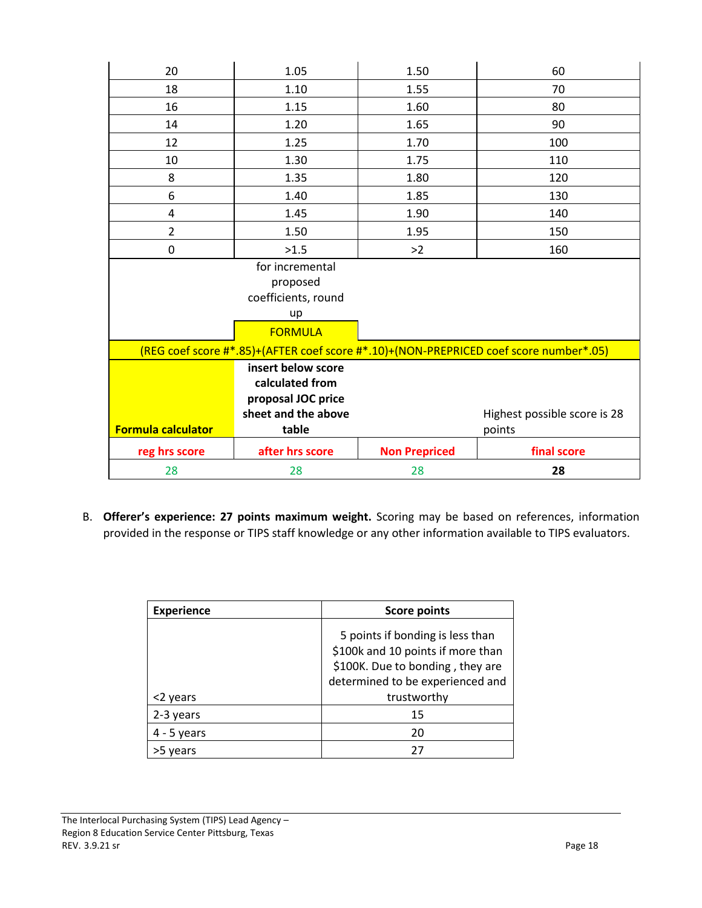| 20                                                                                    | 1.05                                                        | 1.50                 | 60                           |
|---------------------------------------------------------------------------------------|-------------------------------------------------------------|----------------------|------------------------------|
| 18                                                                                    | 1.10                                                        | 1.55                 | 70                           |
| 16                                                                                    | 1.15                                                        | 1.60                 | 80                           |
| 14                                                                                    | 1.20                                                        | 1.65                 | 90                           |
| 12                                                                                    | 1.25                                                        | 1.70                 | 100                          |
| 10                                                                                    | 1.30                                                        | 1.75                 | 110                          |
| 8                                                                                     | 1.35                                                        | 1.80                 | 120                          |
| 6                                                                                     | 1.40                                                        | 1.85                 | 130                          |
| 4                                                                                     | 1.45                                                        | 1.90                 | 140                          |
| $\overline{2}$                                                                        | 1.50                                                        | 1.95                 | 150                          |
| 0                                                                                     | >1.5                                                        | >2                   | 160                          |
|                                                                                       | for incremental<br>proposed<br>coefficients, round<br>up    |                      |                              |
|                                                                                       | <b>FORMULA</b>                                              |                      |                              |
| (REG coef score #*.85)+(AFTER coef score #*.10)+(NON-PREPRICED coef score number*.05) |                                                             |                      |                              |
|                                                                                       | insert below score<br>calculated from<br>proposal JOC price |                      |                              |
|                                                                                       | sheet and the above                                         |                      | Highest possible score is 28 |
| <b>Formula calculator</b>                                                             | table                                                       |                      | points                       |
| reg hrs score                                                                         | after hrs score                                             | <b>Non Prepriced</b> | final score                  |
| 28                                                                                    | 28                                                          | 28                   | 28                           |

B. **Offerer's experience: 27 points maximum weight.** Scoring may be based on references, information provided in the response or TIPS staff knowledge or any other information available to TIPS evaluators.

| <b>Experience</b> | <b>Score points</b>                                                                                                                           |  |
|-------------------|-----------------------------------------------------------------------------------------------------------------------------------------------|--|
|                   | 5 points if bonding is less than<br>\$100k and 10 points if more than<br>\$100K. Due to bonding, they are<br>determined to be experienced and |  |
| <2 years          | trustworthy                                                                                                                                   |  |
| 2-3 years         | 15                                                                                                                                            |  |
| $4 - 5$ years     | 20                                                                                                                                            |  |
| vears             | 27                                                                                                                                            |  |

The Interlocal Purchasing System (TIPS) Lead Agency – Region 8 Education Service Center Pittsburg, Texas<br>REV. 3.9.21 sr<br>Page 18 REV. 3.9.21 sr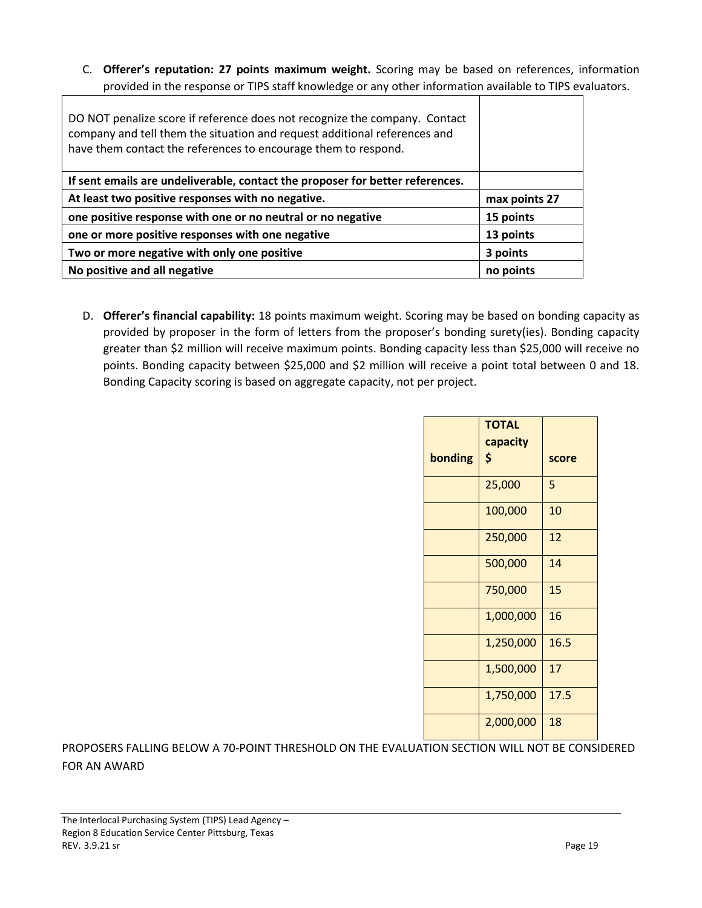C. **Offerer's reputation: 27 points maximum weight.** Scoring may be based on references, information provided in the response or TIPS staff knowledge or any other information available to TIPS evaluators.

| DO NOT penalize score if reference does not recognize the company. Contact<br>company and tell them the situation and request additional references and<br>have them contact the references to encourage them to respond. |               |
|---------------------------------------------------------------------------------------------------------------------------------------------------------------------------------------------------------------------------|---------------|
| If sent emails are undeliverable, contact the proposer for better references.                                                                                                                                             |               |
| At least two positive responses with no negative.                                                                                                                                                                         | max points 27 |
| one positive response with one or no neutral or no negative                                                                                                                                                               | 15 points     |
| one or more positive responses with one negative                                                                                                                                                                          | 13 points     |
| Two or more negative with only one positive                                                                                                                                                                               | 3 points      |
| No positive and all negative                                                                                                                                                                                              | no points     |

D. **Offerer's financial capability:** 18 points maximum weight. Scoring may be based on bonding capacity as provided by proposer in the form of letters from the proposer's bonding surety(ies). Bonding capacity greater than \$2 million will receive maximum points. Bonding capacity less than \$25,000 will receive no points. Bonding capacity between \$25,000 and \$2 million will receive a point total between 0 and 18. Bonding Capacity scoring is based on aggregate capacity, not per project.

|         | <b>TOTAL</b> |       |
|---------|--------------|-------|
|         | capacity     |       |
| bonding | \$           | score |
|         | 25,000       | 5     |
|         | 100,000      | 10    |
|         | 250,000      | 12    |
|         | 500,000      | 14    |
|         | 750,000      | 15    |
|         | 1,000,000    | 16    |
|         | 1,250,000    | 16.5  |
|         | 1,500,000    | 17    |
|         | 1,750,000    | 17.5  |
|         | 2,000,000    | 18    |

PROPOSERS FALLING BELOW A 70-POINT THRESHOLD ON THE EVALUATION SECTION WILL NOT BE CONSIDERED FOR AN AWARD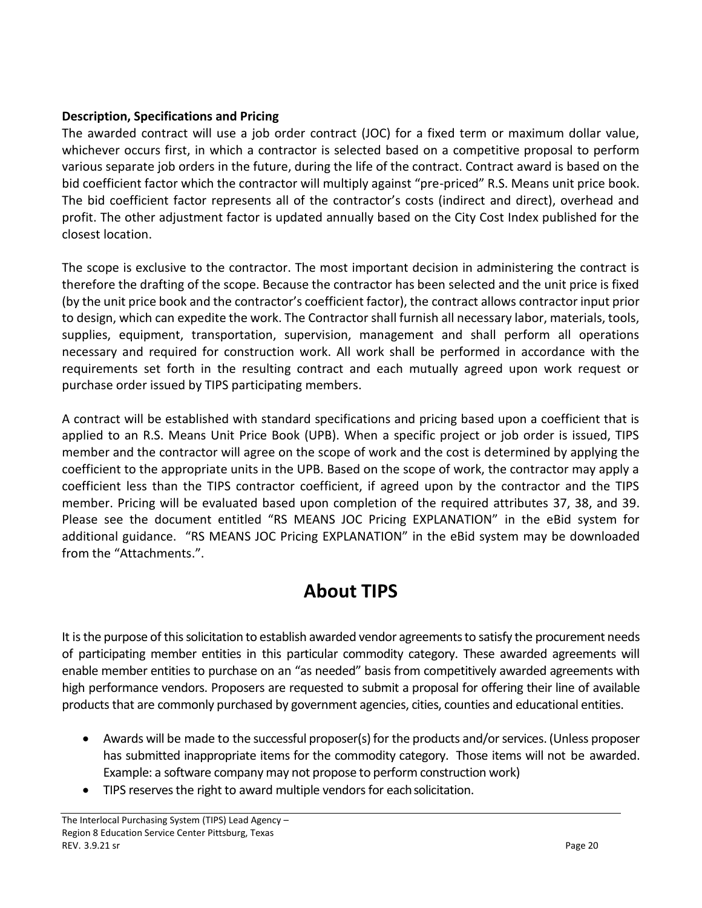# **Description, Specifications and Pricing**

The awarded contract will use a job order contract (JOC) for a fixed term or maximum dollar value, whichever occurs first, in which a contractor is selected based on a competitive proposal to perform various separate job orders in the future, during the life of the contract. Contract award is based on the bid coefficient factor which the contractor will multiply against "pre-priced" R.S. Means unit price book. The bid coefficient factor represents all of the contractor's costs (indirect and direct), overhead and profit. The other adjustment factor is updated annually based on the City Cost Index published for the closest location.

The scope is exclusive to the contractor. The most important decision in administering the contract is therefore the drafting of the scope. Because the contractor has been selected and the unit price is fixed (by the unit price book and the contractor's coefficient factor), the contract allows contractor input prior to design, which can expedite the work. The Contractor shall furnish all necessary labor, materials, tools, supplies, equipment, transportation, supervision, management and shall perform all operations necessary and required for construction work. All work shall be performed in accordance with the requirements set forth in the resulting contract and each mutually agreed upon work request or purchase order issued by TIPS participating members.

A contract will be established with standard specifications and pricing based upon a coefficient that is applied to an R.S. Means Unit Price Book (UPB). When a specific project or job order is issued, TIPS member and the contractor will agree on the scope of work and the cost is determined by applying the coefficient to the appropriate units in the UPB. Based on the scope of work, the contractor may apply a coefficient less than the TIPS contractor coefficient, if agreed upon by the contractor and the TIPS member. Pricing will be evaluated based upon completion of the required attributes 37, 38, and 39. Please see the document entitled "RS MEANS JOC Pricing EXPLANATION" in the eBid system for additional guidance. "RS MEANS JOC Pricing EXPLANATION" in the eBid system may be downloaded from the "Attachments.".

# **About TIPS**

It is the purpose of this solicitation to establish awarded vendor agreements to satisfy the procurement needs of participating member entities in this particular commodity category. These awarded agreements will enable member entities to purchase on an "as needed" basis from competitively awarded agreements with high performance vendors. Proposers are requested to submit a proposal for offering their line of available products that are commonly purchased by government agencies, cities, counties and educational entities.

- Awards will be made to the successful proposer(s) for the products and/or services. (Unless proposer has submitted inappropriate items for the commodity category. Those items will not be awarded. Example: a software company may not propose to perform construction work)
- TIPS reserves the right to award multiple vendors for eachsolicitation.